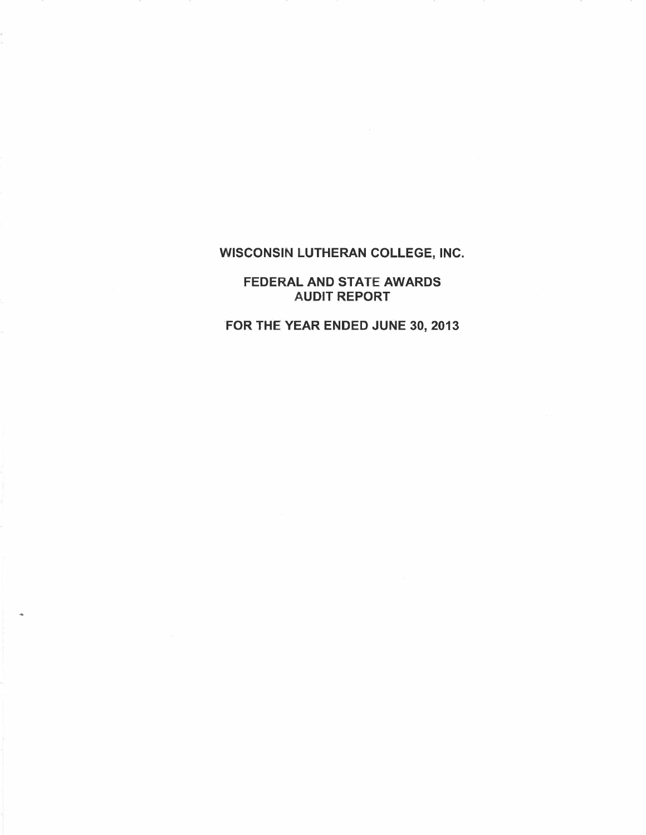## **FEDERAL AND STATE AWARDS AUDIT REPORT**

## **FOR THE YEAR ENDED JUNE 30, 2013**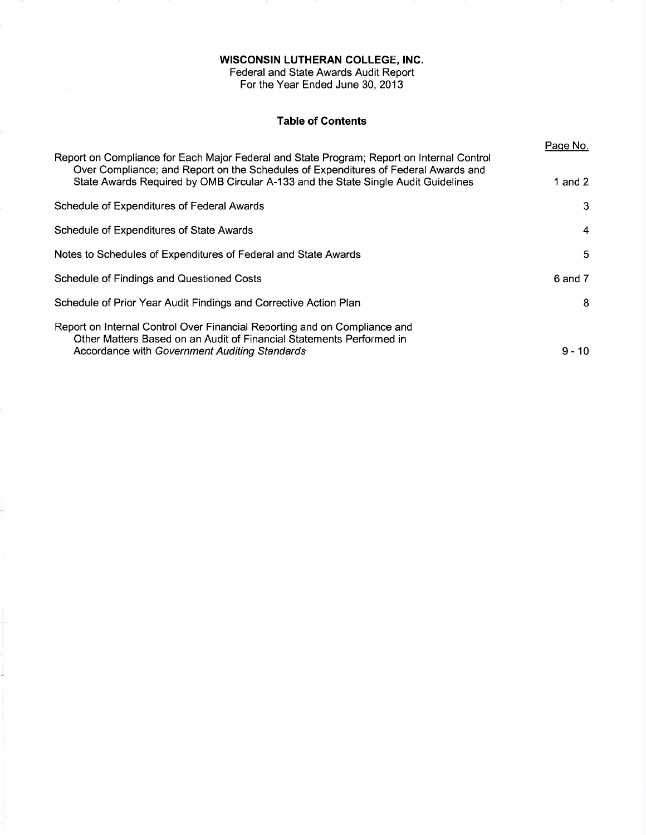Federal and State Awards Audit Report For the Year Ended June 30, 2013

## **Table of Contents**

|                                                                                                                                                                                                                                                                      | Page No. |
|----------------------------------------------------------------------------------------------------------------------------------------------------------------------------------------------------------------------------------------------------------------------|----------|
| Report on Compliance for Each Major Federal and State Program; Report on Internal Control<br>Over Compliance; and Report on the Schedules of Expenditures of Federal Awards and<br>State Awards Required by OMB Circular A-133 and the State Single Audit Guidelines | 1 and 2  |
| Schedule of Expenditures of Federal Awards                                                                                                                                                                                                                           | 3        |
| Schedule of Expenditures of State Awards                                                                                                                                                                                                                             | 4        |
| Notes to Schedules of Expenditures of Federal and State Awards                                                                                                                                                                                                       | 5        |
| Schedule of Findings and Questioned Costs                                                                                                                                                                                                                            | 6 and 7  |
| Schedule of Prior Year Audit Findings and Corrective Action Plan                                                                                                                                                                                                     | 8        |
| Report on Internal Control Over Financial Reporting and on Compliance and<br>Other Matters Based on an Audit of Financial Statements Performed in<br>Accordance with Government Auditing Standards                                                                   | $9 - 10$ |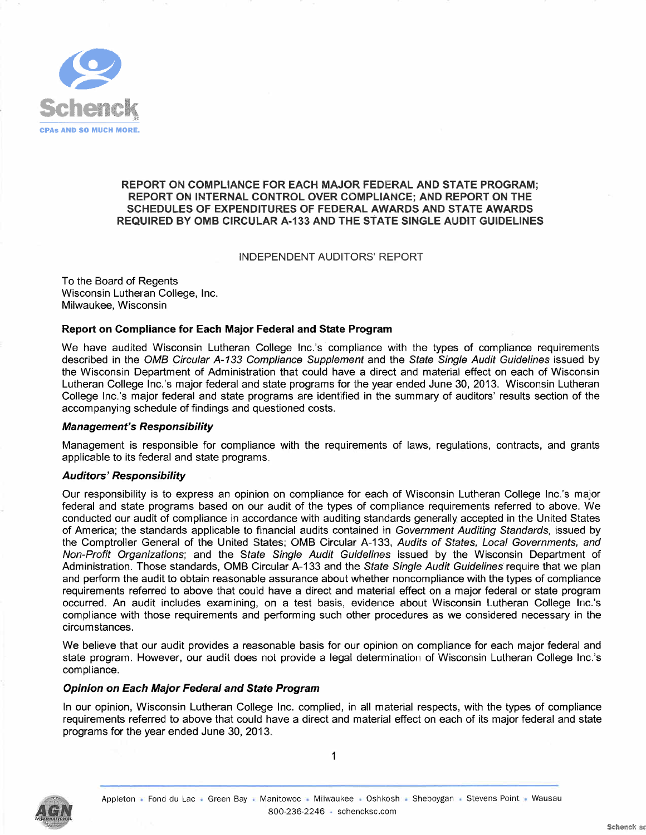

#### **REPORT ON COMPLIANCE FOR EACH MAJOR FEDERAL AND STATE PROGRAM; REPORT ON INTERNAL CONTROL OVER COMPLIANCE; AND REPORT ON THE SCHEDULES OF EXPENDITURES OF FEDERAL AWARDS AND STATE AWARDS REQUIRED BY OMB CIRCULAR A-133 AND THE STATE SINGLE AUDIT GUIDELINES**

#### INDEPENDENT AUDITORS' REPORT

To the Board of Regents Wisconsin Lutheran College, Inc. Milwaukee, Wisconsin

#### **Report on Compliance for Each Major Federal and State Program**

We have audited Wisconsin Lutheran College Inc.'s compliance with the types of compliance requirements described in the OMB Circular A-133 Compliance Supplement and the State Single Audit Guidelines issued by the Wisconsin Department of Administration that could have a direct and material effect on each of Wisconsin Lutheran College Inc.'s major federal and state programs for the year ended June 30, 2013. Wisconsin Lutheran College Inc.'s major federal and state programs are identified in the summary of auditors' results section of the accompanying schedule of findings and questioned costs.

#### **Management's Responsibility**

Management is responsible for compliance with the requirements of laws, regulations, contracts, and grants applicable to its federal and state programs.

#### **Auditors' Responsibility**

Our responsibility is to express an opinion on compliance for each of Wisconsin Lutheran College Inc.'s major federal and state programs based on our audit of the types of compliance requirements referred to above. We conducted our audit of compliance in accordance with auditing standards generally accepted in the United States of America; the standards applicable to financial audits contained in Government Auditing Standards, issued by the Comptroller General of the United States; OMB Circular A-133, Audits of States, Local Governments, and Non-Profit Organizations; and the State Single Audit Guidelines issued by the Wisconsin Department of Administration. Those standards, OMB Circular A-133 and the State Single Audit Guidelines require that we plan and perform the audit to obtain reasonable assurance about whether noncompliance with the types of compliance requirements referred to above that could have a direct and material effect on a major federal or state program occurred. An audit includes examining, on a test basis, evidence about Wisconsin Lutheran College Inc.'s compliance with those requirements and performing such other procedures as we considered necessary in the circumstances.

We believe that our audit provides a reasonable basis for our opinion on compliance for each major federal and state program. However, our audit does not provide a legal determination of Wisconsin Lutheran College Inc.'s compliance.

#### **Opinion on Each Major Federal and State Program**

In our opinion, Wisconsin Lutheran College Inc. complied, in all material respects, with the types of compliance requirements referred to above that could have a direct and material effect on each of its major federal and state programs for the year ended June 30, 2013.

 $\mathbf{1}$ 

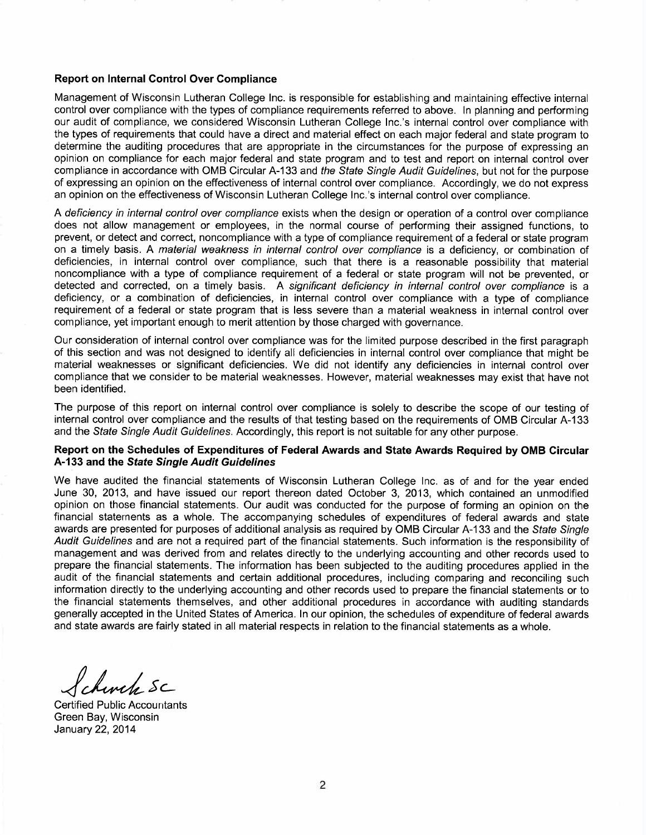#### **Report on Internal Control Over Compliance**

Management of Wisconsin Lutheran College Inc. is responsible for establishing and maintaining effective internal control over compliance with the types of compliance requirements referred to above. In planning and performing our audit of compliance, we considered Wisconsin Lutheran College Inc.'s internal control over compliance with the types of requirements that could have a direct and material effect on each major federal and state program to determine the auditing procedures that are appropriate in the circumstances for the purpose of expressing an opinion on compliance for each major federal and state program and to test and report on internal control over compliance in accordance with OMB Circular A-133 and the State Single Audit Guidelines, but not for the purpose of expressing an opinion on the effectiveness of internal control over compliance. Accordingly, we do not express an opinion on the effectiveness of Wisconsin Lutheran College Inc.'s internal control over compliance.

A deficiency in internal control over compliance exists when the design or operation of a control over compliance does not allow management or employees, in the normal course of performing their assigned functions, to prevent, or detect and correct, noncompliance with a type of compliance requirement of a federal or state program on a timely basis. A material weakness in internal control over compliance is a deficiency, or combination of deficiencies, in internal control over compliance, such that there is a reasonable possibility that material noncompliance with a type of compliance requirement of a federal or state program will not be prevented, or detected and corrected, on a timely basis. A significant deficiency in internal control over compliance is a deficiency, or a combination of deficiencies, in internal control over compliance with a type of compliance requirement of a federal or state program that is less severe than a material weakness in internal control over compliance, yet important enough to merit attention by those charged with governance.

Our consideration of internal control over compliance was for the limited purpose described in the first paragraph of this section and was not designed to identify all deficiencies in internal control over compliance that might be material weaknesses or significant deficiencies. We did not identify any deficiencies in internal control over compliance that we consider to be material weaknesses. However, material weaknesses may exist that have not been identified.

The purpose of this report on internal control over compliance is solely to describe the scope of our testing of internal control over compliance and the results of that testing based on the requirements of OMB Circular A-133 and the State Single Audit Guidelines. Accordingly, this report is not suitable for any other purpose.

#### **Report on the Schedules of Expenditures of Federal Awards and State Awards Required by OMB Circular A-I 33 and the State Single Audit Guidelines**

We have audited the financial statements of Wisconsin Lutheran College Inc. as of and for the year ended June 30, 2013, and have issued our report thereon dated October 3, 2013, which contained an unmodified opinion on those financial statements. Our audit was conducted for the purpose of forming an opinion on the financial statements as a whole. The accompanying schedules of expenditures of federal awards and state awards are presented for purposes of additional analysis as required by OMB Circular A-133 and the State Single Audit Guidelines and are not a required part of the financial statements. Such information is the responsibility of management and was derived from and relates directly to the underlying accounting and other records used to prepare the financial statements. The information has been subjected to the auditing procedures applied in the audit of the financial statements and certain additional procedures, including comparing and reconciling such information directly to the underlying accounting and other records used to prepare the financial statements or to the financial statements themselves, and other additional procedures in accordance with auditing standards generally accepted in the United States of America. In our opinion, the schedules of expenditure of federal awards and state awards are fairly stated in all material respects in relation to the financial statements as a whole.

chwich sc

Certified Public Accountants Green Bay, Wisconsin January 22, 2014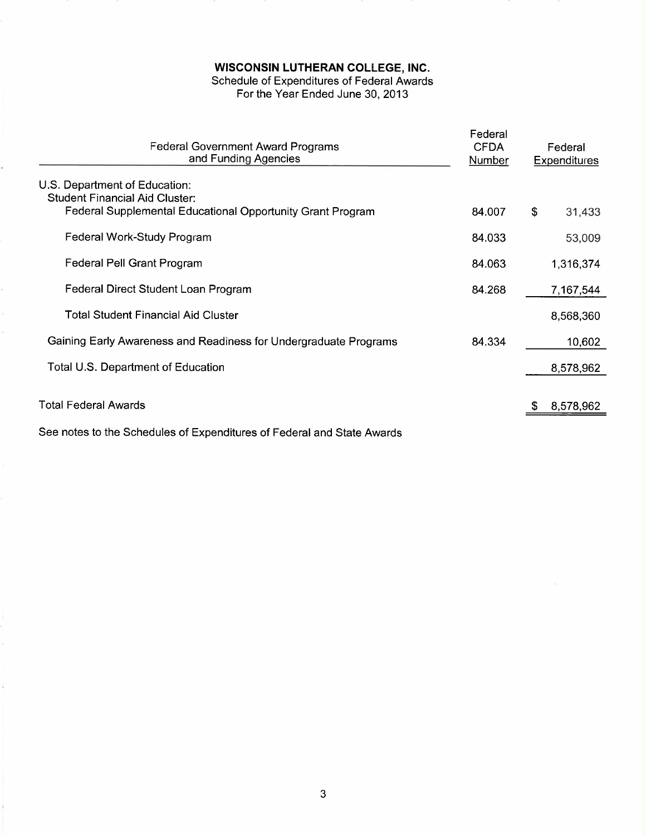#### Schedule of Expenditures of Federal Awards For the Year Ended June 30, 2013

| <b>Federal Government Award Programs</b><br>and Funding Agencies       | Federal<br><b>CFDA</b><br>Number | Federal<br><b>Expenditures</b> |
|------------------------------------------------------------------------|----------------------------------|--------------------------------|
| U.S. Department of Education:<br><b>Student Financial Aid Cluster:</b> |                                  |                                |
| Federal Supplemental Educational Opportunity Grant Program             | 84.007                           | \$<br>31,433                   |
| Federal Work-Study Program                                             | 84.033                           | 53,009                         |
| Federal Pell Grant Program                                             | 84.063                           | 1,316,374                      |
| Federal Direct Student Loan Program                                    | 84.268                           | 7,167,544                      |
| <b>Total Student Financial Aid Cluster</b>                             |                                  | 8,568,360                      |
| Gaining Early Awareness and Readiness for Undergraduate Programs       | 84.334                           | 10,602                         |
| Total U.S. Department of Education                                     |                                  | 8,578,962                      |
| <b>Total Federal Awards</b>                                            |                                  | 8,578,962                      |
| See notes to the Schedules of Expenditures of Federal and State Awards |                                  |                                |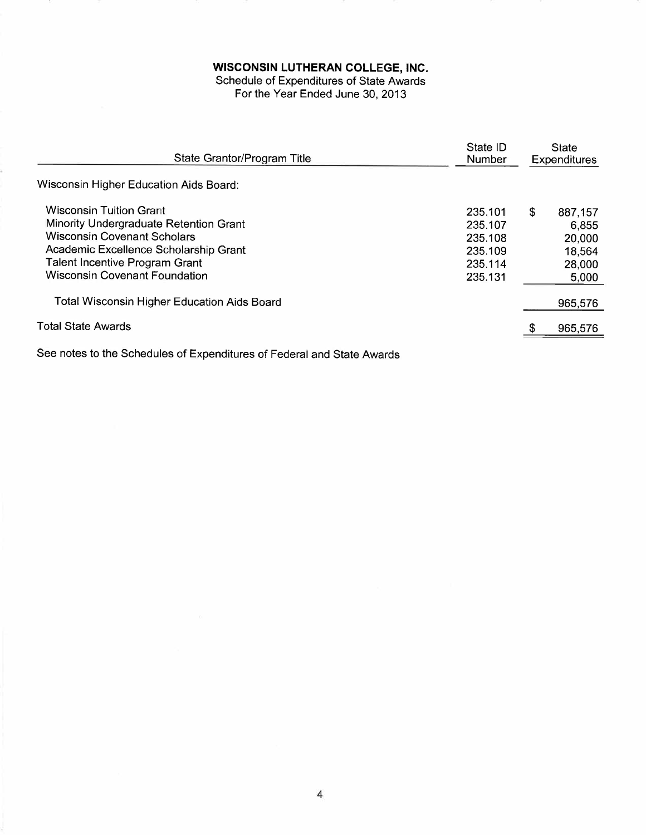Schedule of Expenditures of State Awards For the Year Ended June 30, 2013

| State Grantor/Program Title                                                                                                                                                                                                       | State ID<br>Number                                             |   | <b>State</b><br><b>Expenditures</b>                     |
|-----------------------------------------------------------------------------------------------------------------------------------------------------------------------------------------------------------------------------------|----------------------------------------------------------------|---|---------------------------------------------------------|
| Wisconsin Higher Education Aids Board:                                                                                                                                                                                            |                                                                |   |                                                         |
| <b>Wisconsin Tuition Grant</b><br>Minority Undergraduate Retention Grant<br><b>Wisconsin Covenant Scholars</b><br>Academic Excellence Scholarship Grant<br>Talent Incentive Program Grant<br><b>Wisconsin Covenant Foundation</b> | 235.101<br>235.107<br>235.108<br>235.109<br>235,114<br>235.131 | S | 887,157<br>6,855<br>20,000<br>18,564<br>28,000<br>5,000 |
| Total Wisconsin Higher Education Aids Board                                                                                                                                                                                       |                                                                |   | 965,576                                                 |
| <b>Total State Awards</b>                                                                                                                                                                                                         |                                                                |   | 965,576                                                 |

See notes to the Schedules of Expenditures of Federal and State Awards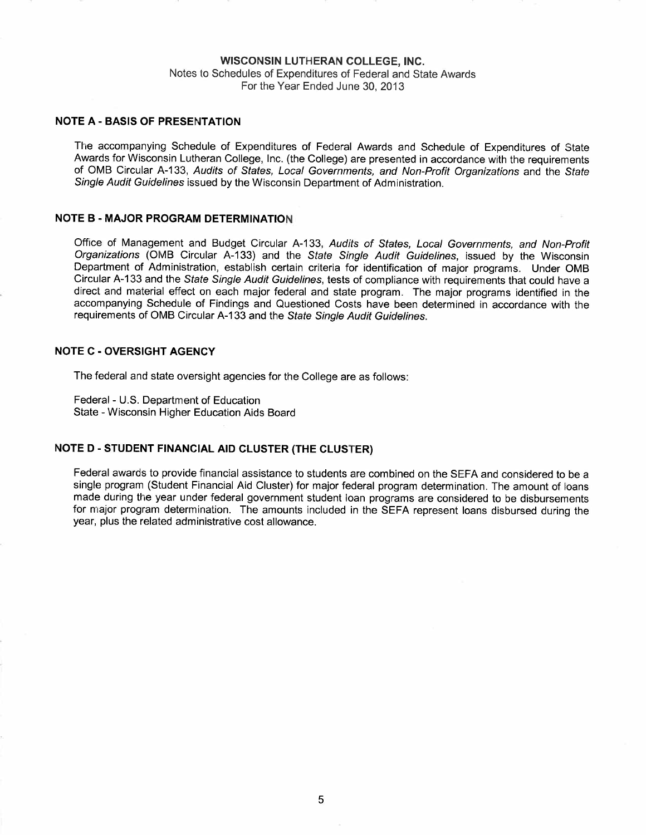Notes to Schedules of Expenditures of Federal and State Awards For the Year Ended June 30, 2013

## **NOTE A - BASIS OF PRESENTATION**

The accompanying Schedule of Expenditures of Federal Awards and Schedule of Expenditures of State Awards for Wisconsin Lutheran College, Inc. (the College) are presented in accordance with the requirements of OMB Circular A-133, Audits of States, Local Governments, and Non-Profit Organizations and the State Single Audit Guidelines issued by the Wisconsin Department of Administration.

#### **NOTE B - MAJOR PROGRAM DETERMINATION**

Office of Management and Budget Circular A-133, Audits of States, Local Governments, and Non-Profit Organizations (OMB Circular A-133) and the State Single Audit Guidelines, issued by the Wisconsin Department of Administration, establish certain criteria for identification of major programs. Under OMB Circular A-133 and the State Single Audit Guidelines, tests of compliance with requirements that could have a direct and material effect on each major federal and state program. The major programs identified in the accompanying Schedule of Findings and Questioned Costs have been determined in accordance with the requirements of OMB Circular A-133 and the State Single Audit Guidelines.

#### **NOTE C** - **OVERSIGHT AGENCY**

The federal and state oversight agencies for the College are as follows:

Federal - U.S. Department of Education State - Wisconsin Higher Education Aids Board

## **NOTE D** - **STUDENT FINANCIAL AID CLUSTER (THE CLUSTER)**

Federal awards to provide financial assistance to students are combined on the SEFA and considered to be a single program (Student Financial Aid Cluster) for major federal program determination. The amount of loans made during the year under federal government student loan programs are considered to be disbursements for major program determination. The amounts included in the SEFA represent loans disbursed during the year, plus the related administrative cost allowance.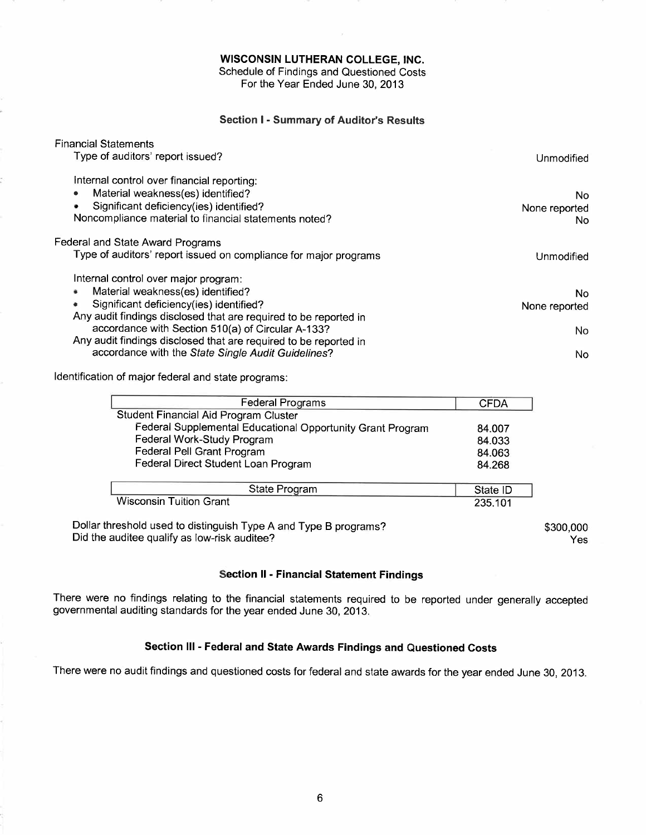Schedule of Findings and Questioned Costs For the Year Ended June 30, 2013

#### **Section I - Summary of Auditor's Results**

| <b>Financial Statements</b>                                                                                                                                                                                                                   |                             |
|-----------------------------------------------------------------------------------------------------------------------------------------------------------------------------------------------------------------------------------------------|-----------------------------|
| Type of auditors' report issued?                                                                                                                                                                                                              | Unmodified                  |
| Internal control over financial reporting:<br>Material weakness(es) identified?<br>Significant deficiency(ies) identified?<br>Noncompliance material to financial statements noted?                                                           | No.<br>None reported<br>No. |
| Federal and State Award Programs<br>Type of auditors' report issued on compliance for major programs                                                                                                                                          | Unmodified                  |
| Internal control over major program:<br>Material weakness(es) identified?<br>Significant deficiency(ies) identified?<br>Any audit findings disclosed that are required to be reported in<br>accordance with Section 510(a) of Circular A-133? | No.<br>None reported<br>No. |
| Any audit findings disclosed that are required to be reported in<br>accordance with the State Single Audit Guidelines?                                                                                                                        | No.                         |

Identification of major federal and state programs:

| <b>Federal Programs</b>                                          | <b>CFDA</b> |           |
|------------------------------------------------------------------|-------------|-----------|
| Student Financial Aid Program Cluster                            |             |           |
| Federal Supplemental Educational Opportunity Grant Program       | 84.007      |           |
| Federal Work-Study Program                                       | 84.033      |           |
| Federal Pell Grant Program                                       | 84.063      |           |
| Federal Direct Student Loan Program                              | 84.268      |           |
|                                                                  |             |           |
| State Program                                                    | State ID    |           |
| <b>Wisconsin Tuition Grant</b>                                   | 235.101     |           |
|                                                                  |             |           |
| Dollar threshold used to distinguish Type A and Type B programs? |             | \$300,000 |
| Did the auditee qualify as low-risk auditee?                     |             |           |
|                                                                  |             |           |

#### **Section II - Financial Statement Findings**

There were no findings relating to the financial statements required to be reported under generally accepted governmental auditing standards for the year ended June 30, 2013.

#### **Section III - Federal and State Awards Findings and Questioned Costs**

There were no audit findings and questioned costs for federal and state awards for the year ended June 30, 2013.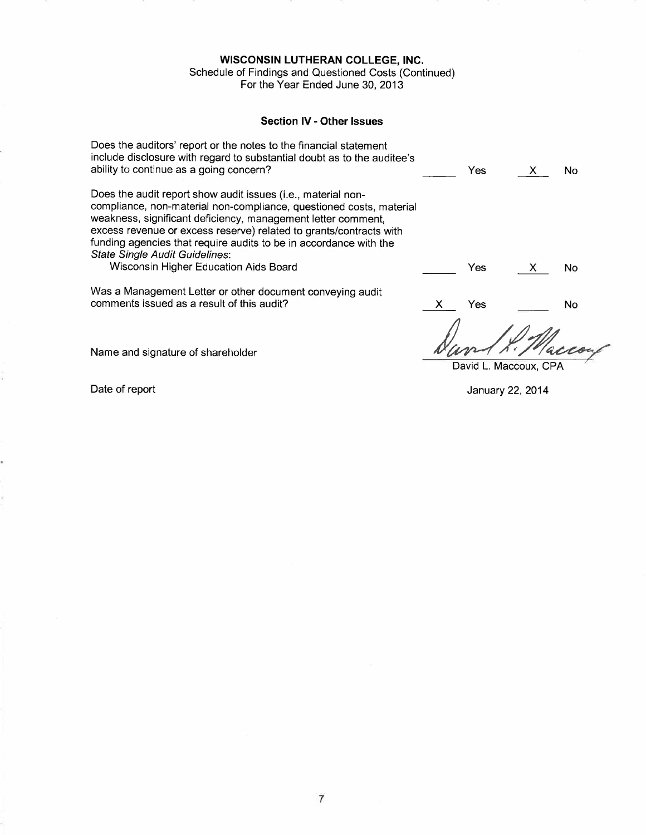Schedule of Findings and Questioned Costs (Continued) For the Year Ended June 30, 2013

## **Section IV** - **Other Issues**

| Does the auditors' report or the notes to the financial statement<br>include disclosure with regard to substantial doubt as to the auditee's<br>ability to continue as a going concern?                                                                                                                                                                                                                                          | Yes                   | No. |  |
|----------------------------------------------------------------------------------------------------------------------------------------------------------------------------------------------------------------------------------------------------------------------------------------------------------------------------------------------------------------------------------------------------------------------------------|-----------------------|-----|--|
| Does the audit report show audit issues (i.e., material non-<br>compliance, non-material non-compliance, questioned costs, material<br>weakness, significant deficiency, management letter comment,<br>excess revenue or excess reserve) related to grants/contracts with<br>funding agencies that require audits to be in accordance with the<br><b>State Single Audit Guidelines:</b><br>Wisconsin Higher Education Aids Board | Yes                   | No  |  |
| Was a Management Letter or other document conveying audit<br>comments issued as a result of this audit?                                                                                                                                                                                                                                                                                                                          | Yes                   | No  |  |
| Name and signature of shareholder                                                                                                                                                                                                                                                                                                                                                                                                | David L. Maccoux, CPA |     |  |

Date of report January 22, 2014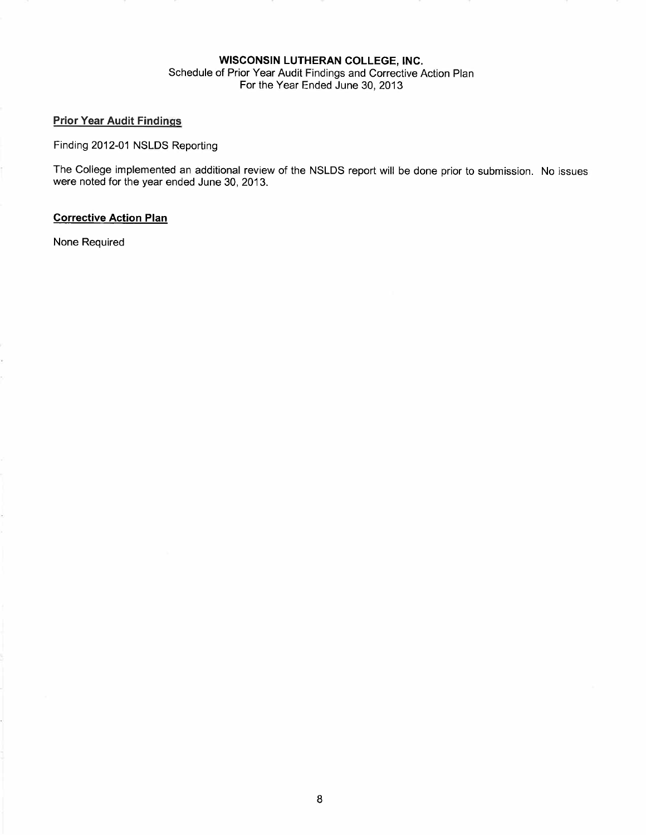Schedule of Prior Year Audit Findings and Corrective Action Plan For the Year Ended June 30, 2013

## **Prior Year Audit Findings**

Finding 2012-01 NSLDS Reporting

The College implemented an additional review of the NSLDS report will be done prior to submission. No issues were noted for the year ended June 30, 2013,

## **Corrective Action Plan**

None Required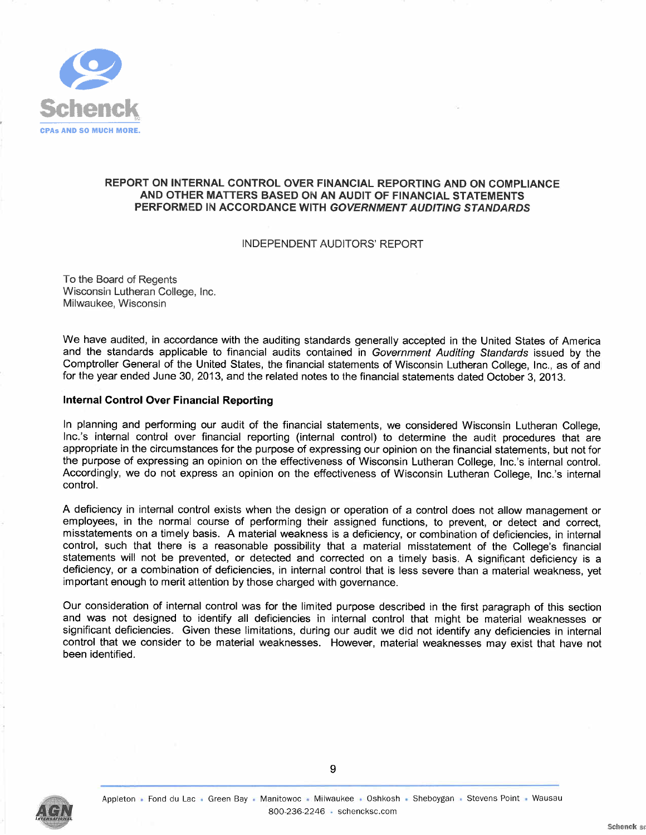

#### **REPORT ON INTERNAL CONTROL OVER FINANCIAL REPORTING AND ON COMPLIANCE AND OTHER MATTERS BASED ON AN AUDIT OF FINANCIAL STATEMENTS PERFORMED IN ACCORDANCE WITH GOVERNMENT AUDITING STANDARDS**

### INDEPENDENT AUDITORS' REPORT

To the Board of Regents Wisconsin Lutheran College, Inc. Milwaukee, Wisconsin

We have audited, in accordance with the auditing standards generally accepted in the United States of America and the standards applicable to financial audits contained in Government Auditing Standards issued by the Comptroller General of the United States, the financial statements of Wisconsin Lutheran College, Inc., as of and for the year ended June 30, 2013, and the related notes to the financial statements dated October 3, 2013.

### **Internal Control Over Financial Reporting**

In planning and performing our audit of the financial statements, we considered Wisconsin Lutheran College, Inc.'s internal control over financial reporting (internal control) to determine the audit procedures that are appropriate in the circumstances for the purpose of expressing our opinion on the financial statements, but not for the purpose of expressing an opinion on the effectiveness of Wisconsin Lutheran College, Inc.'s internal control. Accordingly, we do not express an opinion on the effectiveness of Wisconsin Lutheran College, Inc.'s internal control.

A deficiency in internal control exists when the design or operation of a control does not allow management or employees, in the normal course of performing their assigned functions, to prevent, or detect and correct, misstatements on a timely basis. A material weakness is a deficiency, or combination of deficiencies, in internal control, such that there is a reasonable possibility that a material misstatement of the College's financial statements will not be prevented, or detected and corrected on a timely basis. A significant deficiency is a deficiency, or a combination of deficiencies, in internal control that is less severe than a material weakness, yet important enough to merit attention by those charged with governance.

Our consideration of internal control was for the limited purpose described in the first paragraph of this section and was not designed to identify all deficiencies in internal control that might be material weaknesses or significant deficiencies. Given these limitations, during our audit we did not identify any deficiencies in internal control that we consider to be material weaknesses. However, material weaknesses may exist that have not been identified.



9